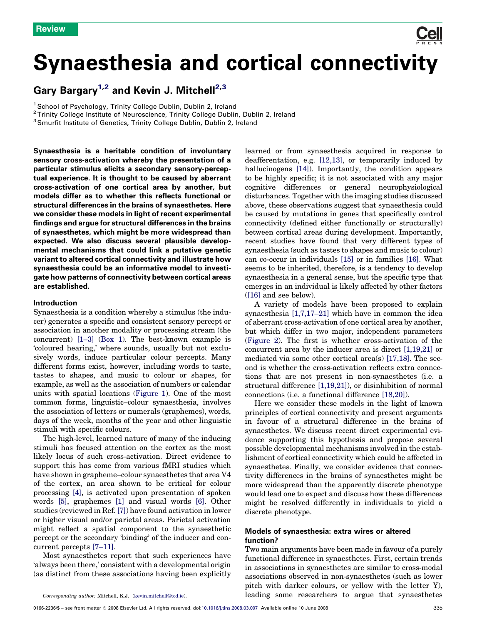# Synaesthesia and cortical connectivity

## Gary Bargary<sup>1,2</sup> and Kevin J. Mitchell<sup>2,3</sup>

<sup>1</sup> School of Psychology, Trinity College Dublin, Dublin 2, Ireland

<sup>2</sup> Trinity College Institute of Neuroscience, Trinity College Dublin, Dublin 2, Ireland

<sup>3</sup> Smurfit Institute of Genetics, Trinity College Dublin, Dublin 2, Ireland

Synaesthesia is a heritable condition of involuntary sensory cross-activation whereby the presentation of a particular stimulus elicits a secondary sensory-perceptual experience. It is thought to be caused by aberrant cross-activation of one cortical area by another, but models differ as to whether this reflects functional or structural differences in the brains of synaesthetes. Here we consider these models in light of recent experimental findings and argue for structural differences in the brains of synaesthetes, which might be more widespread than expected. We also discuss several plausible developmental mechanisms that could link a putative genetic variant to altered cortical connectivity and illustrate how synaesthesia could be an informative model to investigate how patterns of connectivity between cortical areas are established.

#### Introduction

Synaesthesia is a condition whereby a stimulus (the inducer) generates a specific and consistent sensory percept or association in another modality or processing stream (the concurrent) [\[1–3\]](#page-5-0) [\(Box 1\)](#page-1-0). The best-known example is 'coloured hearing,' where sounds, usually but not exclusively words, induce particular colour percepts. Many different forms exist, however, including words to taste, tastes to shapes, and music to colour or shapes, for example, as well as the association of numbers or calendar units with spatial locations [\(Figure 1\)](#page-1-0). One of the most common forms, linguistic–colour synaesthesia, involves the association of letters or numerals (graphemes), words, days of the week, months of the year and other linguistic stimuli with specific colours.

The high-level, learned nature of many of the inducing stimuli has focused attention on the cortex as the most likely locus of such cross-activation. Direct evidence to support this has come from various fMRI studies which have shown in grapheme–colour synaesthetes that area V4 of the cortex, an area shown to be critical for colour processing [\[4\],](#page-6-0) is activated upon presentation of spoken words [\[5\]](#page-6-0), graphemes [\[1\]](#page-5-0) and visual words [\[6\].](#page-6-0) Other studies (reviewed in Ref. [\[7\]](#page-6-0)) have found activation in lower or higher visual and/or parietal areas. Parietal activation might reflect a spatial component to the synaesthetic percept or the secondary 'binding' of the inducer and concurrent percepts [\[7–11\].](#page-6-0)

Most synaesthetes report that such experiences have 'always been there,' consistent with a developmental origin (as distinct from these associations having been explicitly learned or from synaesthesia acquired in response to deafferentation, e.g. [\[12,13\]](#page-6-0), or temporarily induced by hallucinogens [\[14\]\)](#page-6-0). Importantly, the condition appears to be highly specific; it is not associated with any major cognitive differences or general neurophysiological disturbances. Together with the imaging studies discussed above, these observations suggest that synaesthesia could be caused by mutations in genes that specifically control connectivity (defined either functionally or structurally) between cortical areas during development. Importantly, recent studies have found that very different types of synaesthesia (such as tastes to shapes and music to colour) can co-occur in individuals [\[15\]](#page-6-0) or in families [\[16\].](#page-6-0) What seems to be inherited, therefore, is a tendency to develop synaesthesia in a general sense, but the specific type that emerges in an individual is likely affected by other factors ([\[16\]](#page-6-0) and see below).

A variety of models have been proposed to explain synaesthesia [\[1,7,17–21\]](#page-5-0) which have in common the idea of aberrant cross-activation of one cortical area by another, but which differ in two major, independent parameters ([Figure 2\)](#page-2-0). The first is whether cross-activation of the concurrent area by the inducer area is direct [\[1,19,21\]](#page-5-0) or mediated via some other cortical area(s) [\[17,18\].](#page-6-0) The second is whether the cross-activation reflects extra connections that are not present in non-synaesthetes (i.e. a structural difference [\[1,19,21\]](#page-5-0)), or disinhibition of normal connections (i.e. a functional difference [\[18,20\]\)](#page-6-0).

Here we consider these models in the light of known principles of cortical connectivity and present arguments in favour of a structural difference in the brains of synaesthetes. We discuss recent direct experimental evidence supporting this hypothesis and propose several possible developmental mechanisms involved in the establishment of cortical connectivity which could be affected in synaesthetes. Finally, we consider evidence that connectivity differences in the brains of synaesthetes might be more widespread than the apparently discrete phenotype would lead one to expect and discuss how these differences might be resolved differently in individuals to yield a discrete phenotype.

## Models of synaesthesia: extra wires or altered function?

Two main arguments have been made in favour of a purely functional difference in synaesthetes. First, certain trends in associations in synaesthetes are similar to cross-modal associations observed in non-synaesthetes (such as lower pitch with darker colours, or yellow with the letter Y), leading some researchers to argue that synaesthetes

Corresponding author: Mitchell, K.J. ([kevin.mitchell@tcd.ie\)](mailto:kevin.mitchell@tcd.ie).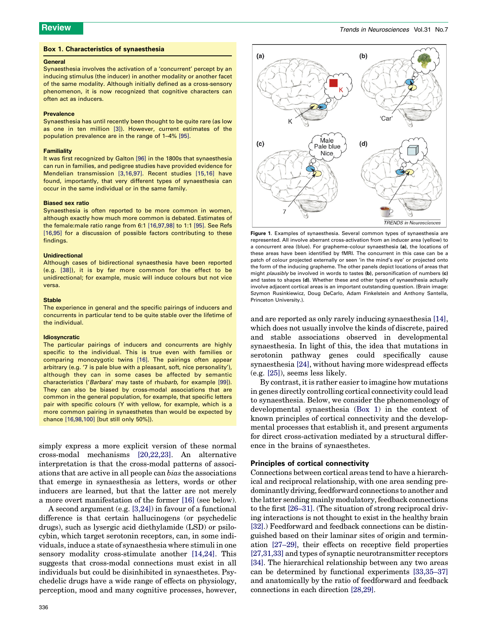#### <span id="page-1-0"></span>Box 1. Characteristics of synaesthesia

#### General

Synaesthesia involves the activation of a 'concurrent' percept by an inducing stimulus (the inducer) in another modality or another facet of the same modality. Although initially defined as a cross-sensory phenomenon, it is now recognized that cognitive characters can often act as inducers.

#### **Prevalence**

Synaesthesia has until recently been thought to be quite rare (as low as one in ten million [\[3\]\)](#page-5-0). However, current estimates of the population prevalence are in the range of 1–4% [\[95\].](#page-7-0)

#### **Familiality**

It was first recognized by Galton [\[96\]](#page-7-0) in the 1800s that synaesthesia can run in families, and pedigree studies have provided evidence for Mendelian transmission [\[3,16,97\].](#page-5-0) Recent studies [\[15,16\]](#page-6-0) have found, importantly, that very different types of synaesthesia can occur in the same individual or in the same family.

#### Biased sex ratio

Synaesthesia is often reported to be more common in women, although exactly how much more common is debated. Estimates of the female:male ratio range from 6:1 [\[16,97,98\]](#page-6-0) to 1:1 [\[95\].](#page-7-0) See Refs [\[16,95\]](#page-6-0) for a discussion of possible factors contributing to these findings.

#### Unidirectional

Although cases of bidirectional synaesthesia have been reported (e.g. [\[38\]\)](#page-6-0), it is by far more common for the effect to be unidirectional; for example, music will induce colours but not vice versa.

#### **Stable**

The experience in general and the specific pairings of inducers and concurrents in particular tend to be quite stable over the lifetime of the individual.

#### Idiosyncratic

The particular pairings of inducers and concurrents are highly specific to the individual. This is true even with families or comparing monozygotic twins [\[16\].](#page-6-0) The pairings often appear arbitrary (e.g. '7 is pale blue with a pleasant, soft, nice personality'), although they can in some cases be affected by semantic characteristics ('Barbara' may taste of rhubarb, for example [\[99\]](#page-7-0)). They can also be biased by cross-modal associations that are common in the general population, for example, that specific letters pair with specific colours (Y with yellow, for example, which is a more common pairing in synaesthetes than would be expected by chance [\[16,98,100\]](#page-6-0) [but still only 50%]).

simply express a more explicit version of these normal cross-modal mechanisms [\[20,22,23\].](#page-6-0) An alternative interpretation is that the cross-modal patterns of associations that are active in all people can bias the associations that emerge in synaesthesia as letters, words or other inducers are learned, but that the latter are not merely a more overt manifestation of the former [\[16\]](#page-6-0) (see below).

A second argument (e.g. [\[3,24\]](#page-5-0)) in favour of a functional difference is that certain hallucinogens (or psychedelic drugs), such as lysergic acid diethylamide (LSD) or psilocybin, which target serotonin receptors, can, in some individuals, induce a state of synaesthesia where stimuli in one sensory modality cross-stimulate another [\[14,24\]](#page-6-0). This suggests that cross-modal connections must exist in all individuals but could be disinhibited in synaesthetes. Psychedelic drugs have a wide range of effects on physiology, perception, mood and many cognitive processes, however,



Figure 1. Examples of synaesthesia. Several common types of synaesthesia are represented. All involve aberrant cross-activation from an inducer area (yellow) to a concurrent area (blue). For grapheme–colour synaesthesia (a), the locations of these areas have been identified by fMRI. The concurrent in this case can be a patch of colour projected externally or seen 'in the mind's eye' or projected onto the form of the inducing grapheme. The other panels depict locations of areas that might *plausibly* be involved in words to tastes (b), personification of numbers (c) and tastes to shapes (d). Whether these and other types of synaesthesia actually involve adjacent cortical areas is an important outstanding question. (Brain image: Szymon Rusinkiewicz, Doug DeCarlo, Adam Finkelstein and Anthony Santella, Princeton University.).

and are reported as only rarely inducing synaesthesia [\[14\]](#page-6-0), which does not usually involve the kinds of discrete, paired and stable associations observed in developmental synaesthesia. In light of this, the idea that mutations in serotonin pathway genes could specifically cause synaesthesia [\[24\]](#page-6-0), without having more widespread effects (e.g. [\[25\]](#page-6-0)), seems less likely.

By contrast, it is rather easier to imagine how mutations in genes directly controlling cortical connectivity could lead to synaesthesia. Below, we consider the phenomenology of developmental synaesthesia (Box 1) in the context of known principles of cortical connectivity and the developmental processes that establish it, and present arguments for direct cross-activation mediated by a structural difference in the brains of synaesthetes.

#### Principles of cortical connectivity

Connections between cortical areas tend to have a hierarchical and reciprocal relationship, with one area sending predominantly driving, feedforward connections to another and the latter sending mainly modulatory, feedback connections to the first [\[26–31\]](#page-6-0). (The situation of strong reciprocal driving interactions is not thought to exist in the healthy brain [\[32\].](#page-6-0)) Feedforward and feedback connections can be distinguished based on their laminar sites of origin and termination [\[27–29\]](#page-6-0), their effects on receptive field properties [\[27,31,33\]](#page-6-0) and types of synaptic neurotransmitter receptors [\[34\].](#page-6-0) The hierarchical relationship between any two areas can be determined by functional experiments [\[33,35–37\]](#page-6-0) and anatomically by the ratio of feedforward and feedback connections in each direction [\[28,29\].](#page-6-0)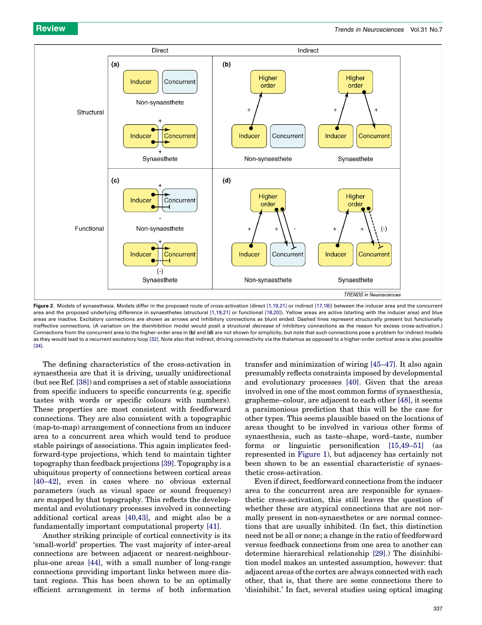<span id="page-2-0"></span>

Figure 2. Models of synaesthesia. Models differ in the proposed route of cross-activation (direct [\[1,19,21\]](#page-5-0) or indirect [\[17,18\]](#page-6-0)) between the inducer area and the concurrent area and the proposed underlying difference in synaesthetes (structural [\[1,19,21\]](#page-5-0) or functional [\[18,20\]](#page-6-0)). Yellow areas are active (starting with the inducer area) and blue areas are inactive. Excitatory connections are shown as arrows and inhibitory connections as blunt ended. Dashed lines represent structurally present but functionally ineffective connections. (A variation on the disinhibition model would posit a structural *decrease* of inhibitory connections as the reason for excess cross-activation.) Connections from the concurrent area to the higher-order area in (b) and (d) are not shown for simplicity, but note that such connections pose a problem for indirect models as they would lead to a recurrent excitatory loop [\[32\]](#page-6-0). Note also that indirect, driving connectivity via the thalamus as opposed to a higher-order cortical area is also possible [\[34\].](#page-6-0)

The defining characteristics of the cross-activation in synaesthesia are that it is driving, usually unidirectional (but see Ref. [\[38\]](#page-6-0)) and comprises a set of stable associations from specific inducers to specific concurrents (e.g. specific tastes with words or specific colours with numbers). These properties are most consistent with feedforward connections. They are also consistent with a topographic (map-to-map) arrangement of connections from an inducer area to a concurrent area which would tend to produce stable pairings of associations. This again implicates feedforward-type projections, which tend to maintain tighter topography than feedback projections [\[39\]](#page-6-0). Topography is a ubiquitous property of connections between cortical areas [\[40–42\],](#page-6-0) even in cases where no obvious external parameters (such as visual space or sound frequency) are mapped by that topography. This reflects the developmental and evolutionary processes involved in connecting additional cortical areas [\[40,43\],](#page-6-0) and might also be a fundamentally important computational property [\[41\]](#page-6-0).

Another striking principle of cortical connectivity is its 'small-world' properties. The vast majority of inter-areal connections are between adjacent or nearest-neighbourplus-one areas [\[44\]](#page-6-0), with a small number of long-range connections providing important links between more distant regions. This has been shown to be an optimally efficient arrangement in terms of both information

transfer and minimization of wiring [\[45–47\].](#page-6-0) It also again presumably reflects constraints imposed by developmental and evolutionary processes [\[40\]](#page-6-0). Given that the areas involved in one of the most common forms of synaesthesia, grapheme–colour, are adjacent to each other [\[48\]](#page-6-0), it seems a parsimonious prediction that this will be the case for other types. This seems plausible based on the locations of areas thought to be involved in various other forms of synaesthesia, such as taste–shape, word–taste, number forms or linguistic personification [\[15,49–51\]](#page-6-0) (as represented in [Figure 1\)](#page-1-0), but adjacency has certainly not been shown to be an essential characteristic of synaesthetic cross-activation.

Even if direct, feedforward connections from the inducer area to the concurrent area are responsible for synaesthetic cross-activation, this still leaves the question of whether these are atypical connections that are not normally present in non-synaesthetes or are normal connections that are usually inhibited. (In fact, this distinction need not be all or none; a change in the ratio of feedforward versus feedback connections from one area to another can determine hierarchical relationship [\[29\]](#page-6-0).) The disinhibition model makes an untested assumption, however: that adjacent areas of the cortex are always connected with each other, that is, that there are some connections there to 'disinhibit.' In fact, several studies using optical imaging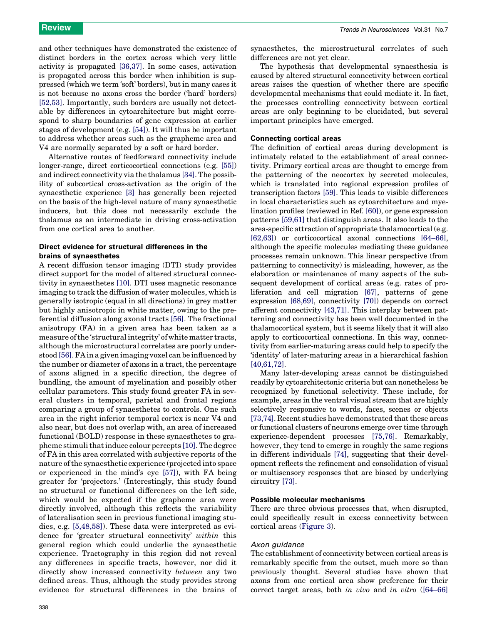and other techniques have demonstrated the existence of distinct borders in the cortex across which very little activity is propagated [\[36,37\].](#page-6-0) In some cases, activation is propagated across this border when inhibition is suppressed (which we term 'soft' borders), but in many cases it is not because no axons cross the border ('hard' borders) [\[52,53\]](#page-6-0). Importantly, such borders are usually not detectable by differences in cytoarchitecture but might correspond to sharp boundaries of gene expression at earlier stages of development (e.g. [\[54\]](#page-6-0)). It will thus be important to address whether areas such as the grapheme area and V4 are normally separated by a soft or hard border.

Alternative routes of feedforward connectivity include longer-range, direct corticocortical connections (e.g. [\[55\]\)](#page-6-0) and indirect connectivity via the thalamus [\[34\].](#page-6-0) The possibility of subcortical cross-activation as the origin of the synaesthetic experience [\[3\]](#page-5-0) has generally been rejected on the basis of the high-level nature of many synaesthetic inducers, but this does not necessarily exclude the thalamus as an intermediate in driving cross-activation from one cortical area to another.

### Direct evidence for structural differences in the brains of synaesthetes

A recent diffusion tensor imaging (DTI) study provides direct support for the model of altered structural connectivity in synaesthetes [\[10\].](#page-6-0) DTI uses magnetic resonance imaging to track the diffusion of water molecules, which is generally isotropic (equal in all directions) in grey matter but highly anisotropic in white matter, owing to the preferential diffusion along axonal tracts [\[56\].](#page-6-0) The fractional anisotropy (FA) in a given area has been taken as a measure of the 'structural integrity' of white matter tracts, although the microstructural correlates are poorly understood [\[56\]](#page-6-0). FA in a given imaging voxel can be influenced by the number or diameter of axons in a tract, the percentage of axons aligned in a specific direction, the degree of bundling, the amount of myelination and possibly other cellular parameters. This study found greater FA in several clusters in temporal, parietal and frontal regions comparing a group of synaesthetes to controls. One such area in the right inferior temporal cortex is near V4 and also near, but does not overlap with, an area of increased functional (BOLD) response in these synaesthetes to grapheme stimuli that induce colour percepts [\[10\].](#page-6-0) The degree of FA in this area correlated with subjective reports of the nature of the synaesthetic experience (projected into space or experienced in the mind's eye [\[57\]\)](#page-6-0), with FA being greater for 'projectors.' (Interestingly, this study found no structural or functional differences on the left side, which would be expected if the grapheme area were directly involved, although this reflects the variability of lateralisation seen in previous functional imaging studies, e.g. [\[5,48,58\]\)](#page-6-0). These data were interpreted as evidence for 'greater structural connectivity' within this general region which could underlie the synaesthetic experience. Tractography in this region did not reveal any differences in specific tracts, however, nor did it directly show increased connectivity between any two defined areas. Thus, although the study provides strong evidence for structural differences in the brains of synaesthetes, the microstructural correlates of such differences are not yet clear.

The hypothesis that developmental synaesthesia is caused by altered structural connectivity between cortical areas raises the question of whether there are specific developmental mechanisms that could mediate it. In fact, the processes controlling connectivity between cortical areas are only beginning to be elucidated, but several important principles have emerged.

#### Connecting cortical areas

The definition of cortical areas during development is intimately related to the establishment of areal connectivity. Primary cortical areas are thought to emerge from the patterning of the neocortex by secreted molecules, which is translated into regional expression profiles of transcription factors [\[59\]](#page-6-0). This leads to visible differences in local characteristics such as cytoarchitecture and myelination profiles (reviewed in Ref. [\[60\]](#page-6-0)), or gene expression patterns [\[59,61\]](#page-6-0) that distinguish areas. It also leads to the area-specific attraction of appropriate thalamocortical (e.g. [\[62,63\]](#page-7-0)) or corticocortical axonal connections [\[64–66\]](#page-7-0), although the specific molecules mediating these guidance processes remain unknown. This linear perspective (from patterning to connectivity) is misleading, however, as the elaboration or maintenance of many aspects of the subsequent development of cortical areas (e.g. rates of proliferation and cell migration [\[67\],](#page-7-0) patterns of gene expression [\[68,69\]](#page-7-0), connectivity [\[70\]](#page-7-0)) depends on correct afferent connectivity [\[43,71\]](#page-6-0). This interplay between patterning and connectivity has been well documented in the thalamocortical system, but it seems likely that it will also apply to corticocortical connections. In this way, connectivity from earlier-maturing areas could help to specify the 'identity' of later-maturing areas in a hierarchical fashion [\[40,61,72\]](#page-6-0).

Many later-developing areas cannot be distinguished readily by cytoarchitectonic criteria but can nonetheless be recognized by functional selectivity. These include, for example, areas in the ventral visual stream that are highly selectively responsive to words, faces, scenes or objects [\[73,74\]](#page-7-0). Recent studies have demonstrated that these areas or functional clusters of neurons emerge over time through experience-dependent processes [\[75,76\]](#page-7-0). Remarkably, however, they tend to emerge in roughly the same regions in different individuals [\[74\],](#page-7-0) suggesting that their development reflects the refinement and consolidation of visual or multisensory responses that are biased by underlying circuitry [\[73\]](#page-7-0).

#### Possible molecular mechanisms

There are three obvious processes that, when disrupted, could specifically result in excess connectivity between cortical areas ([Figure 3\)](#page-4-0).

#### Axon guidance

The establishment of connectivity between cortical areas is remarkably specific from the outset, much more so than previously thought. Several studies have shown that axons from one cortical area show preference for their correct target areas, both in vivo and in vitro [\(\[64–66\]](#page-7-0)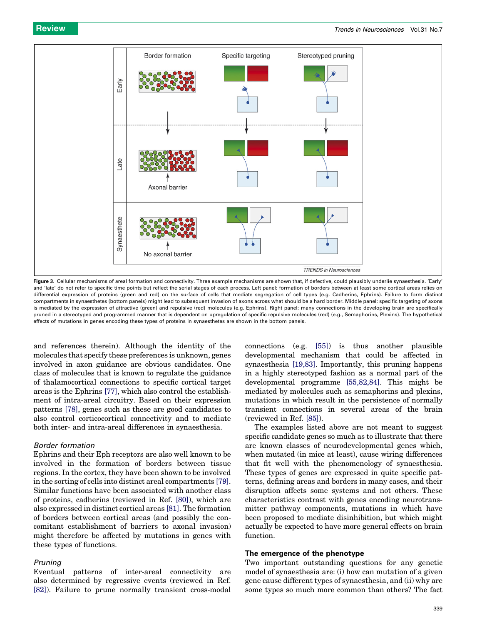<span id="page-4-0"></span>

Figure 3. Cellular mechanisms of areal formation and connectivity. Three example mechanisms are shown that, if defective, could plausibly underlie synaesthesia. 'Early' and 'late' do not refer to specific time points but reflect the serial stages of each process. Left panel: formation of borders between at least some cortical areas relies on differential expression of proteins (green and red) on the surface of cells that mediate segregation of cell types (e.g. Cadherins, Ephrins). Failure to form distinct compartments in synaesthetes (bottom panels) might lead to subsequent invasion of axons across what should be a hard border. Middle panel: specific targeting of axons is mediated by the expression of attractive (green) and repulsive (red) molecules (e.g. Ephrins). Right panel: many connections in the developing brain are specifically pruned in a stereotyped and programmed manner that is dependent on upregulation of specific repulsive molecules (red) (e.g., Semaphorins, Plexins). The hypothetical effects of mutations in genes encoding these types of proteins in synaesthetes are shown in the bottom panels.

and references therein). Although the identity of the molecules that specify these preferences is unknown, genes involved in axon guidance are obvious candidates. One class of molecules that is known to regulate the guidance of thalamocortical connections to specific cortical target areas is the Ephrins [\[77\]](#page-7-0), which also control the establishment of intra-areal circuitry. Based on their expression patterns [\[78\]](#page-7-0), genes such as these are good candidates to also control corticocortical connectivity and to mediate both inter- and intra-areal differences in synaesthesia.

#### Border formation

Ephrins and their Eph receptors are also well known to be involved in the formation of borders between tissue regions. In the cortex, they have been shown to be involved in the sorting of cells into distinct areal compartments [\[79\]](#page-7-0). Similar functions have been associated with another class of proteins, cadherins (reviewed in Ref. [\[80\]\)](#page-7-0), which are also expressed in distinct cortical areas [\[81\].](#page-7-0) The formation of borders between cortical areas (and possibly the concomitant establishment of barriers to axonal invasion) might therefore be affected by mutations in genes with these types of functions.

#### Pruning

Eventual patterns of inter-areal connectivity are also determined by regressive events (reviewed in Ref. [\[82\]](#page-7-0)). Failure to prune normally transient cross-modal

connections (e.g. [\[55\]](#page-6-0)) is thus another plausible developmental mechanism that could be affected in synaesthesia [\[19,83\].](#page-6-0) Importantly, this pruning happens in a highly stereotyped fashion as a normal part of the developmental programme [\[55,82,84\].](#page-6-0) This might be mediated by molecules such as semaphorins and plexins, mutations in which result in the persistence of normally transient connections in several areas of the brain (reviewed in Ref. [\[85\]](#page-7-0)).

The examples listed above are not meant to suggest specific candidate genes so much as to illustrate that there are known classes of neurodevelopmental genes which, when mutated (in mice at least), cause wiring differences that fit well with the phenomenology of synaesthesia. These types of genes are expressed in quite specific patterns, defining areas and borders in many cases, and their disruption affects some systems and not others. These characteristics contrast with genes encoding neurotransmitter pathway components, mutations in which have been proposed to mediate disinhibition, but which might actually be expected to have more general effects on brain function.

### The emergence of the phenotype

Two important outstanding questions for any genetic model of synaesthesia are: (i) how can mutation of a given gene cause different types of synaesthesia, and (ii) why are some types so much more common than others? The fact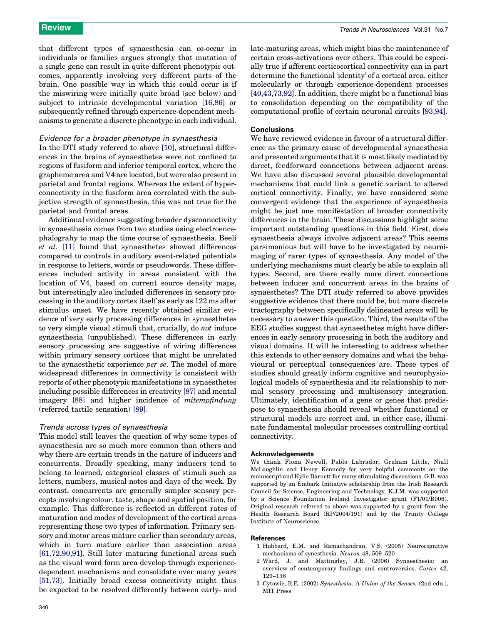<span id="page-5-0"></span>that different types of synaesthesia can co-occur in individuals or families argues strongly that mutation of a single gene can result in quite different phenotypic outcomes, apparently involving very different parts of the brain. One possible way in which this could occur is if the miswiring were initially quite broad (see below) and subject to intrinsic developmental variation [\[16,86\]](#page-6-0) or subsequently refined through experience-dependent mechanisms to generate a discrete phenotype in each individual.

#### Evidence for a broader phenotype in synaesthesia

In the DTI study referred to above [\[10\],](#page-6-0) structural differences in the brains of synaesthetes were not confined to regions of fusiform and inferior temporal cortex, where the grapheme area and V4 are located, but were also present in parietal and frontal regions. Whereas the extent of hyperconnectivity in the fusiform area correlated with the subjective strength of synaesthesia, this was not true for the parietal and frontal areas.

Additional evidence suggesting broader dysconnectivity in synaesthesia comes from two studies using electroencephalograhy to map the time course of synaesthesia. Beeli et al. [\[11\]](#page-6-0) found that synaesthetes showed differences compared to controls in auditory event-related potentials in response to letters, words or pseudowords. These differences included activity in areas consistent with the location of V4, based on current source density maps, but interestingly also included differences in sensory processing in the auditory cortex itself as early as 122 ms after stimulus onset. We have recently obtained similar evidence of very early processing differences in synaesthetes to very simple visual stimuli that, crucially, do not induce synaesthesia (unpublished). These differences in early sensory processing are suggestive of wiring differences within primary sensory cortices that might be unrelated to the synaesthetic experience per se. The model of more widespread differences in connectivity is consistent with reports of other phenotypic manifestations in synaesthetes including possible differences in creativity [\[87\]](#page-7-0) and mental imagery [\[88\]](#page-7-0) and higher incidence of mitempfindung (referred tactile sensation) [\[89\]](#page-7-0).

#### Trends across types of synaesthesia

This model still leaves the question of why some types of synaesthesia are so much more common than others and why there are certain trends in the nature of inducers and concurrents. Broadly speaking, many inducers tend to belong to learned, categorical classes of stimuli such as letters, numbers, musical notes and days of the week. By contrast, concurrents are generally simpler sensory percepts involving colour, taste, shape and spatial position, for example. This difference is reflected in different rates of maturation and modes of development of the cortical areas representing these two types of information. Primary sensory and motor areas mature earlier than secondary areas, which in turn mature earlier than association areas [\[61,72,90,91\]](#page-6-0). Still later maturing functional areas such as the visual word form area develop through experiencedependent mechanisms and consolidate over many years [\[51,73\]](#page-6-0). Initially broad excess connectivity might thus be expected to be resolved differently between early- and late-maturing areas, which might bias the maintenance of certain cross-activations over others. This could be especially true if afferent corticocortical connectivity can in part determine the functional 'identity' of a cortical area, either molecularly or through experience-dependent processes [\[40,43,73,92\]](#page-6-0). In addition, there might be a functional bias to consolidation depending on the compatibility of the computational profile of certain neuronal circuits [\[93,94\].](#page-7-0)

#### **Conclusions**

We have reviewed evidence in favour of a structural difference as the primary cause of developmental synaesthesia and presented arguments that it is most likely mediated by direct, feedforward connections between adjacent areas. We have also discussed several plausible developmental mechanisms that could link a genetic variant to altered cortical connectivity. Finally, we have considered some convergent evidence that the experience of synaesthesia might be just one manifestation of broader connectivity differences in the brain. These discussions highlight some important outstanding questions in this field. First, does synaesthesia always involve adjacent areas? This seems parsimonious but will have to be investigated by neuroimaging of rarer types of synaesthesia. Any model of the underlying mechanisms must clearly be able to explain all types. Second, are there really more direct connections between inducer and concurrent areas in the brains of synaesthetes? The DTI study referred to above provides suggestive evidence that there could be, but more discrete tractography between specifically delineated areas will be necessary to answer this question. Third, the results of the EEG studies suggest that synaesthetes might have differences in early sensory processing in both the auditory and visual domains. It will be interesting to address whether this extends to other sensory domains and what the behavioural or perceptual consequences are. These types of studies should greatly inform cognitive and neurophysiological models of synaesthesia and its relationship to normal sensory processing and multisensory integration. Ultimately, identification of a gene or genes that predispose to synaesthesia should reveal whether functional or structural models are correct and, in either case, illuminate fundamental molecular processes controlling cortical connectivity.

#### Acknowledgements

We thank Fiona Newell, Pablo Labrador, Graham Little, Niall McLoughlin and Henry Kennedy for very helpful comments on the manuscript and Kylie Barnett for many stimulating discussions. G.B. was supported by an Embark Initiative scholarship from the Irish Research Council for Science, Engineering and Technology. K.J.M. was supported by a Science Foundation Ireland Investigator grant (F1/01/B006). Original research referred to above was supported by a grant from the Health Research Board (RP/2004/191) and by the Trinity College Institute of Neuroscience.

#### **References**

- 1 Hubbard, E.M. and Ramachandran, V.S. (2005) Neurocognitive mechanisms of synesthesia. Neuron 48, 509–520
- 2 Ward, J. and Mattingley, J.B. (2006) Synaesthesia: an overview of contemporary findings and controversies. Cortex 42, 129–136
- 3 Cytowic, R.E. (2002) Synesthesia: A Union of the Senses. (2nd edn.), MIT Press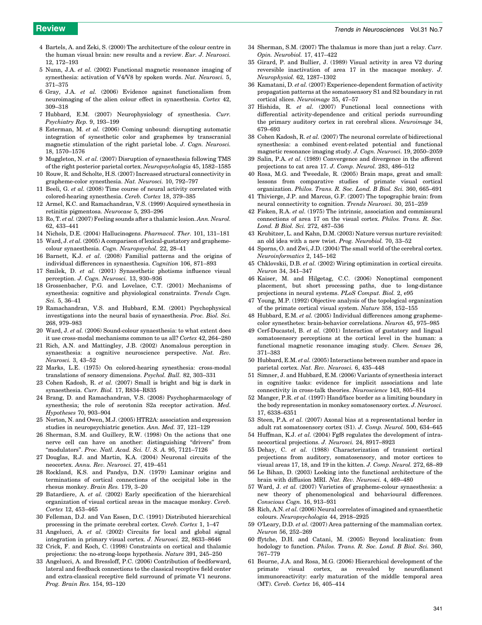- <span id="page-6-0"></span>4 Bartels, A. and Zeki, S. (2000) The architecture of the colour centre in the human visual brain: new results and a review. Eur. J. Neurosci. 12, 172–193
- 5 Nunn, J.A. et al. (2002) Functional magnetic resonance imaging of synesthesia: activation of V4/V8 by spoken words. Nat. Neurosci. 5, 371–375
- 6 Gray, J.A. et al. (2006) Evidence against functionalism from neuroimaging of the alien colour effect in synaesthesia. Cortex 42, 309–318
- 7 Hubbard, E.M. (2007) Neurophysiology of synesthesia. Curr. Psychiatry Rep. 9, 193–199
- 8 Esterman, M. et al. (2006) Coming unbound: disrupting automatic integration of synesthetic color and graphemes by transcranial magnetic stimulation of the right parietal lobe. J. Cogn. Neurosci. 18, 1570–1576
- 9 Muggleton, N. et al. (2007) Disruption of synaesthesia following TMS of the right posterior parietal cortex. Neuropsychologia 45, 1582–1585
- 10 Rouw, R. and Scholte, H.S. (2007) Increased structural connectivity in grapheme-color synesthesia. Nat. Neurosci. 10, 792–797
- 11 Beeli, G. et al. (2008) Time course of neural activity correlated with colored-hearing synesthesia. Cereb. Cortex 18, 379–385
- 12 Armel, K.C. and Ramachandran, V.S. (1999) Acquired synesthesia in retinitis pigmentosa. Neurocase 5, 293–296
- 13 Ro, T. et al. (2007) Feeling sounds after a thalamic lesion. Ann. Neurol. 62, 433–441
- 14 Nichols, D.E. (2004) Hallucinogens. Pharmacol. Ther. 101, 131–181
- 15 Ward, J. et al. (2005) A comparison of lexical-gustatory and graphemecolour synaesthesia. Cogn. Neuropsychol. 22, 28–41
- 16 Barnett, K.J. et al. (2008) Familial patterns and the origins of individual differences in synaesthesia. Cognition 106, 871–893
- 17 Smilek, D. et al. (2001) Synaesthetic photisms influence visual perception. J. Cogn. Neurosci. 13, 930–936
- 18 Grossenbacher, P.G. and Lovelace, C.T. (2001) Mechanisms of synesthesia: cognitive and physiological constraints. Trends Cogn. Sci. 5, 36–41
- 19 Ramachandran, V.S. and Hubbard, E.M. (2001) Psychophysical investigations into the neural basis of synaesthesia. Proc. Biol. Sci. 268, 979–983
- 20 Ward, J. et al. (2006) Sound-colour synaesthesia: to what extent does it use cross-modal mechanisms common to us all? Cortex 42, 264–280
- 21 Rich, A.N. and Mattingley, J.B. (2002) Anomalous perception in synaesthesia: a cognitive neuroscience perspective. Nat. Rev. Neurosci. 3, 43–52
- 22 Marks, L.E. (1975) On colored-hearing synesthesia: cross-modal translations of sensory dimensions. Psychol. Bull. 82, 303–331
- 23 Cohen Kadosh, R. et al. (2007) Small is bright and big is dark in synaesthesia. Curr. Biol. 17, R834–R835
- 24 Brang, D. and Ramachandran, V.S. (2008) Psychopharmacology of synesthesia; the role of serotonin S2a receptor activation. Med. Hypotheses 70, 903–904
- 25 Norton, N. and Owen, M.J. (2005) HTR2A: association and expression studies in neuropsychiatric genetics. Ann. Med. 37, 121–129
- 26 Sherman, S.M. and Guillery, R.W. (1998) On the actions that one nerve cell can have on another: distinguishing "drivers" from "modulators". Proc. Natl. Acad. Sci. U. S. A. 95, 7121-7126
- 27 Douglas, R.J. and Martin, K.A. (2004) Neuronal circuits of the neocortex. Annu. Rev. Neurosci. 27, 419–451
- 28 Rockland, K.S. and Pandya, D.N. (1979) Laminar origins and terminations of cortical connections of the occipital lobe in the rhesus monkey. Brain Res. 179, 3–20
- 29 Batardiere, A. et al. (2002) Early specification of the hierarchical organization of visual cortical areas in the macaque monkey. Cereb. Cortex 12, 453–465
- 30 Felleman, D.J. and Van Essen, D.C. (1991) Distributed hierarchical processing in the primate cerebral cortex. Cereb. Cortex 1, 1–47
- 31 Angelucci, A. et al. (2002) Circuits for local and global signal integration in primary visual cortex. J. Neurosci. 22, 8633–8646
- 32 Crick, F. and Koch, C. (1998) Constraints on cortical and thalamic projections: the no-strong-loops hypothesis. Nature 391, 245–250
- 33 Angelucci, A. and Bressloff, P.C. (2006) Contribution of feedforward, lateral and feedback connections to the classical receptive field center and extra-classical receptive field surround of primate V1 neurons. Prog. Brain Res. 154, 93–120
- 34 Sherman, S.M. (2007) The thalamus is more than just a relay. Curr. Opin. Neurobiol. 17, 417–422
- 35 Girard, P. and Bullier, J. (1989) Visual activity in area V2 during reversible inactivation of area 17 in the macaque monkey. J. Neurophysiol. 62, 1287–1302
- 36 Kamatani, D. et al. (2007) Experience-dependent formation of activity propagation patterns at the somatosensory S1 and S2 boundary in rat cortical slices. Neuroimage 35, 47–57
- 37 Hishida, R. et al. (2007) Functional local connections with differential activity-dependence and critical periods surrounding the primary auditory cortex in rat cerebral slices. Neuroimage 34, 679–693
- 38 Cohen Kadosh, R. et al. (2007) The neuronal correlate of bidirectional synesthesia: a combined event-related potential and functional magnetic resonance imaging study. J. Cogn. Neurosci. 19, 2050–2059
- 39 Salin, P.A. et al. (1989) Convergence and divergence in the afferent projections to cat area 17. J. Comp. Neurol. 283, 486–512
- 40 Rosa, M.G. and Tweedale, R. (2005) Brain maps, great and small: lessons from comparative studies of primate visual cortical organization. Philos. Trans. R. Soc. Lond. B Biol. Sci. 360, 665–691
- 41 Thivierge, J.P. and Marcus, G.F. (2007) The topographic brain: from neural connectivity to cognition. Trends Neurosci. 30, 251–259
- 42 Fisken, R.A. et al. (1975) The intrinsic, association and commissural connections of area 17 on the visual cortex. Philos. Trans. R. Soc. Lond. B Biol. Sci. 272, 487–536
- 43 Krubitzer, L. and Kahn, D.M. (2003) Nature versus nurture revisited: an old idea with a new twist. Prog. Neurobiol. 70, 33–52
- 44 Sporns, O. and Zwi, J.D. (2004) The small world of the cerebral cortex. Neuroinformatics 2, 145–162
- 45 Chklovskii, D.B. et al. (2002) Wiring optimization in cortical circuits. Neuron 34, 341–347
- 46 Kaiser, M. and Hilgetag, C.C. (2006) Nonoptimal component placement, but short processing paths, due to long-distance projections in neural systems. PLoS Comput. Biol. 2, e95
- 47 Young, M.P. (1992) Objective analysis of the topological organization of the primate cortical visual system. Nature 358, 152–155
- 48 Hubbard, E.M. et al. (2005) Individual differences among graphemecolor synesthetes: brain-behavior correlations. Neuron 45, 975–985
- 49 Cerf-Ducastel, B. et al. (2001) Interaction of gustatory and lingual somatosensory perceptions at the cortical level in the human: a functional magnetic resonance imaging study. Chem. Senses 26, 371–383
- 50 Hubbard, E.M. et al. (2005) Interactions between number and space in parietal cortex. Nat. Rev. Neurosci. 6, 435–448
- 51 Simner, J. and Hubbard, E.M. (2006) Variants of synesthesia interact in cognitive tasks: evidence for implicit associations and late connectivity in cross-talk theories. Neuroscience 143, 805–814
- 52 Manger, P.R. et al. (1997) Hand/face border as a limiting boundary in the body representation in monkey somatosensory cortex. J. Neurosci. 17, 6338–6351
- 53 Steen, P.A. et al. (2007) Axonal bias at a representational border in adult rat somatosensory cortex (S1). J. Comp. Neurol. 500, 634–645
- 54 Huffman, K.J. et al. (2004) Fgf8 regulates the development of intraneocortical projections. J. Neurosci. 24, 8917–8923
- 55 Dehay, C. et al. (1988) Characterization of transient cortical projections from auditory, somatosensory, and motor cortices to visual areas 17, 18, and 19 in the kitten. J. Comp. Neurol. 272, 68–89
- 56 Le Bihan, D. (2003) Looking into the functional architecture of the brain with diffusion MRI. Nat. Rev. Neurosci. 4, 469–480
- 57 Ward, J. et al. (2007) Varieties of grapheme-colour synaesthesia: a new theory of phenomenological and behavioural differences. Conscious Cogn. 16, 913–931
- 58 Rich, A.N. et al. (2006) Neural correlates of imagined and synaesthetic colours. Neuropsychologia 44, 2918–2925
- 59 O'Leary, D.D. et al. (2007) Area patterning of the mammalian cortex. Neuron 56, 252–269
- 60 ffytche, D.H. and Catani, M. (2005) Beyond localization: from hodology to function. Philos. Trans. R. Soc. Lond. B Biol. Sci. 360, 767–779
- 61 Bourne, J.A. and Rosa, M.G. (2006) Hierarchical development of the primate visual cortex, as revealed by neurofilament immunoreactivity: early maturation of the middle temporal area (MT). Cereb. Cortex 16, 405–414